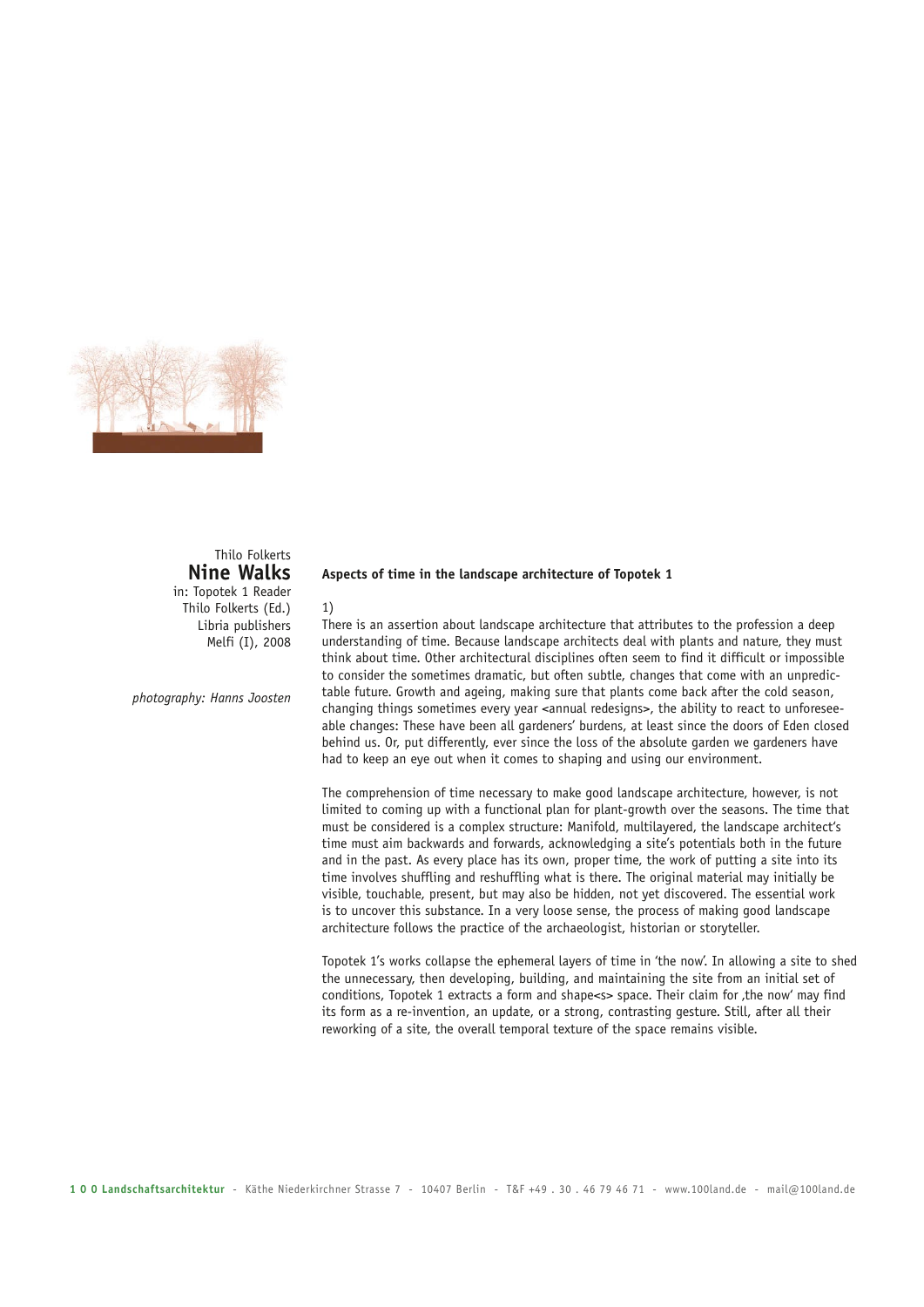

# Thilo Folkerts **Nine Walks**

in: Topotek 1 Reader Thilo Folkerts (Ed.) Libria publishers Melfi (I), 2008

*photography: Hanns Joosten*

### **Aspects of time in the landscape architecture of Topotek 1**

## 1)

There is an assertion about landscape architecture that attributes to the profession a deep understanding of time. Because landscape architects deal with plants and nature, they must think about time. Other architectural disciplines often seem to find it difficult or impossible to consider the sometimes dramatic, but often subtle, changes that come with an unpredictable future. Growth and ageing, making sure that plants come back after the cold season, changing things sometimes every year <annual redesigns>, the ability to react to unforeseeable changes: These have been all gardeners' burdens, at least since the doors of Eden closed behind us. Or, put differently, ever since the loss of the absolute garden we gardeners have had to keep an eye out when it comes to shaping and using our environment.

The comprehension of time necessary to make good landscape architecture, however, is not limited to coming up with a functional plan for plant-growth over the seasons. The time that must be considered is a complex structure: Manifold, multilayered, the landscape architect's time must aim backwards and forwards, acknowledging a site's potentials both in the future and in the past. As every place has its own, proper time, the work of putting a site into its time involves shuffling and reshuffling what is there. The original material may initially be visible, touchable, present, but may also be hidden, not yet discovered. The essential work is to uncover this substance. In a very loose sense, the process of making good landscape architecture follows the practice of the archaeologist, historian or storyteller.

Topotek 1's works collapse the ephemeral layers of time in 'the now'. In allowing a site to shed the unnecessary, then developing, building, and maintaining the site from an initial set of conditions, Topotek 1 extracts a form and shape<s> space. Their claim for the now' may find its form as a re-invention, an update, or a strong, contrasting gesture. Still, after all their reworking of a site, the overall temporal texture of the space remains visible.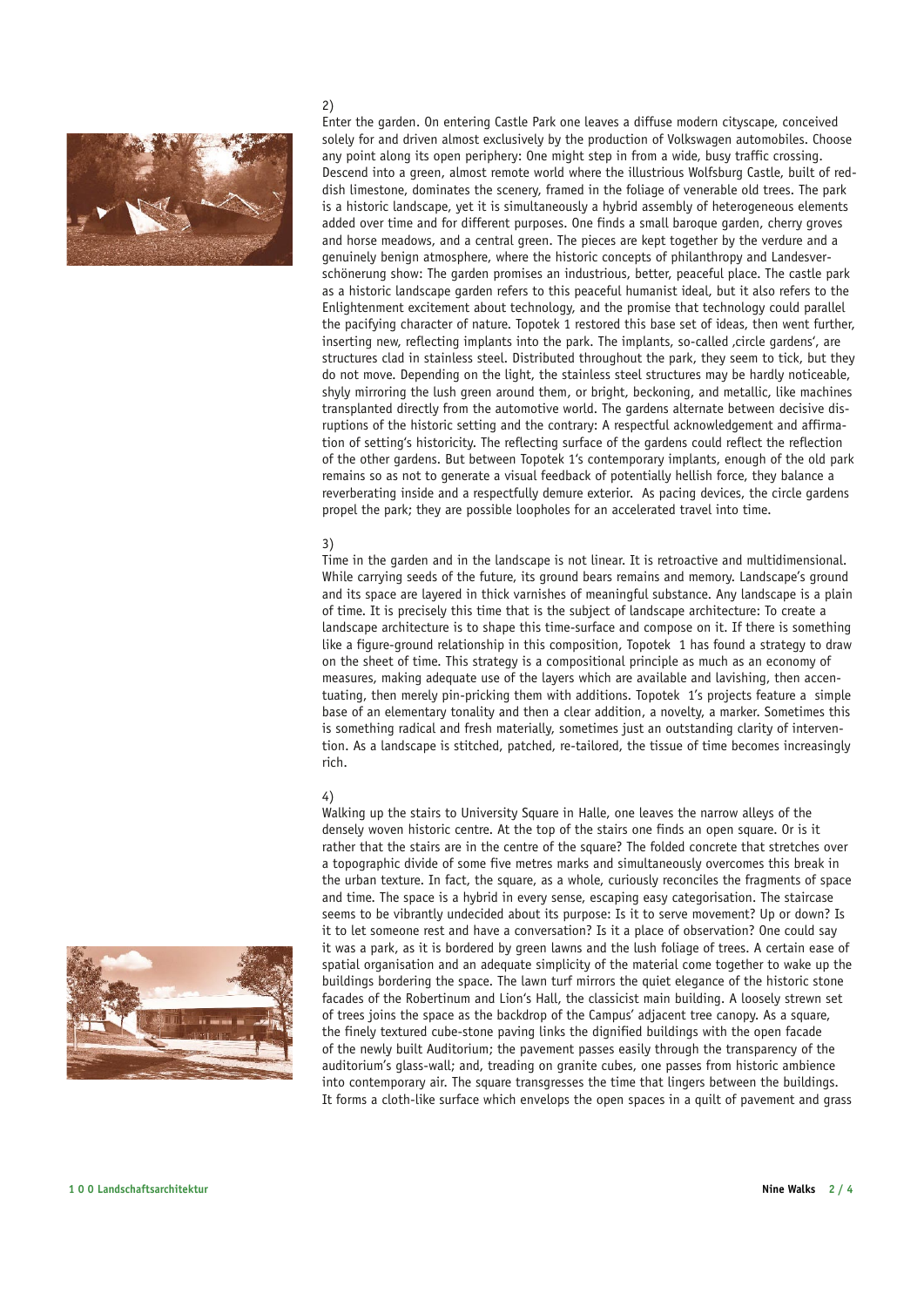

### 2)

Enter the garden. On entering Castle Park one leaves a diffuse modern cityscape, conceived solely for and driven almost exclusively by the production of Volkswagen automobiles. Choose any point along its open periphery: One might step in from a wide, busy traffic crossing. Descend into a green, almost remote world where the illustrious Wolfsburg Castle, built of reddish limestone, dominates the scenery, framed in the foliage of venerable old trees. The park is a historic landscape, yet it is simultaneously a hybrid assembly of heterogeneous elements added over time and for different purposes. One finds a small baroque garden, cherry groves and horse meadows, and a central green. The pieces are kept together by the verdure and a genuinely benign atmosphere, where the historic concepts of philanthropy and Landesverschönerung show: The garden promises an industrious, better, peaceful place. The castle park as a historic landscape garden refers to this peaceful humanist ideal, but it also refers to the Enlightenment excitement about technology, and the promise that technology could parallel the pacifying character of nature. Topotek 1 restored this base set of ideas, then went further, inserting new, reflecting implants into the park. The implants, so-called , circle gardens', are structures clad in stainless steel. Distributed throughout the park, they seem to tick, but they do not move. Depending on the light, the stainless steel structures may be hardly noticeable, shyly mirroring the lush green around them, or bright, beckoning, and metallic, like machines transplanted directly from the automotive world. The gardens alternate between decisive disruptions of the historic setting and the contrary: A respectful acknowledgement and affirmation of setting's historicity. The reflecting surface of the gardens could reflect the reflection of the other gardens. But between Topotek 1's contemporary implants, enough of the old park remains so as not to generate a visual feedback of potentially hellish force, they balance a reverberating inside and a respectfully demure exterior. As pacing devices, the circle gardens propel the park; they are possible loopholes for an accelerated travel into time.

## 3)

Time in the garden and in the landscape is not linear. It is retroactive and multidimensional. While carrying seeds of the future, its ground bears remains and memory. Landscape's ground and its space are layered in thick varnishes of meaningful substance. Any landscape is a plain of time. It is precisely this time that is the subject of landscape architecture: To create a landscape architecture is to shape this time-surface and compose on it. If there is something like a figure-ground relationship in this composition, Topotek 1 has found a strategy to draw on the sheet of time. This strategy is a compositional principle as much as an economy of measures, making adequate use of the layers which are available and lavishing, then accentuating, then merely pin-pricking them with additions. Topotek 1's projects feature a simple base of an elementary tonality and then a clear addition, a novelty, a marker. Sometimes this is something radical and fresh materially, sometimes just an outstanding clarity of intervention. As a landscape is stitched, patched, re-tailored, the tissue of time becomes increasingly rich.

## 4)

Walking up the stairs to University Square in Halle, one leaves the narrow alleys of the densely woven historic centre. At the top of the stairs one finds an open square. Or is it rather that the stairs are in the centre of the square? The folded concrete that stretches over a topographic divide of some five metres marks and simultaneously overcomes this break in the urban texture. In fact, the square, as a whole, curiously reconciles the fragments of space and time. The space is a hybrid in every sense, escaping easy categorisation. The staircase seems to be vibrantly undecided about its purpose: Is it to serve movement? Up or down? Is it to let someone rest and have a conversation? Is it a place of observation? One could say it was a park, as it is bordered by green lawns and the lush foliage of trees. A certain ease of spatial organisation and an adequate simplicity of the material come together to wake up the buildings bordering the space. The lawn turf mirrors the quiet elegance of the historic stone facades of the Robertinum and Lion's Hall, the classicist main building. A loosely strewn set of trees joins the space as the backdrop of the Campus' adjacent tree canopy. As a square, the finely textured cube-stone paving links the dignified buildings with the open facade of the newly built Auditorium; the pavement passes easily through the transparency of the auditorium's glass-wall; and, treading on granite cubes, one passes from historic ambience into contemporary air. The square transgresses the time that lingers between the buildings. It forms a cloth-like surface which envelops the open spaces in a quilt of pavement and grass

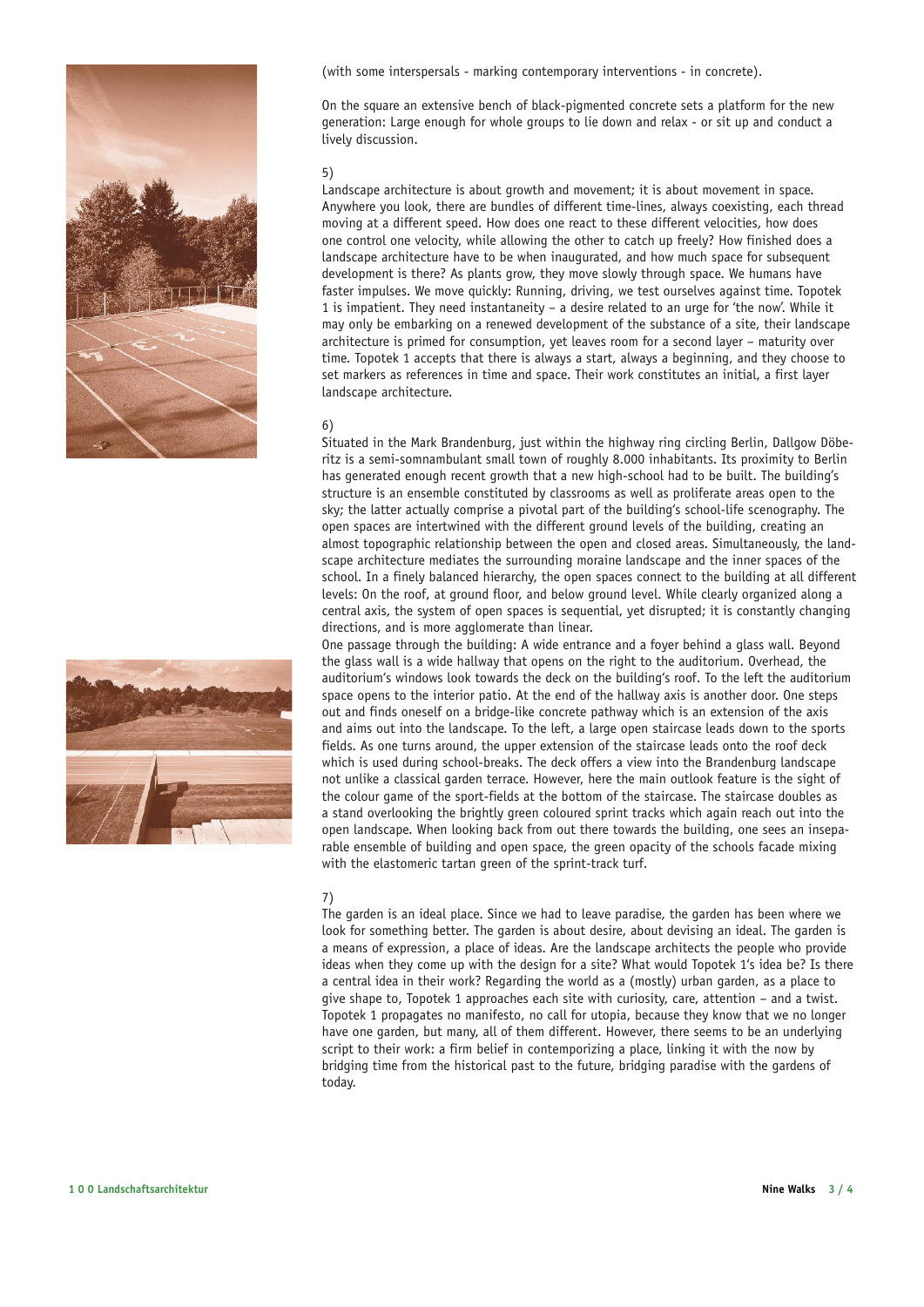



(with some interspersals - marking contemporary interventions - in concrete).

On the square an extensive bench of black-pigmented concrete sets a platform for the new generation: Large enough for whole groups to lie down and relax - or sit up and conduct a lively discussion.

#### 5)

Landscape architecture is about growth and movement; it is about movement in space. Anywhere you look, there are bundles of different time-lines, always coexisting, each thread moving at a different speed. How does one react to these different velocities, how does one control one velocity, while allowing the other to catch up freely? How finished does a landscape architecture have to be when inaugurated, and how much space for subsequent development is there? As plants grow, they move slowly through space. We humans have faster impulses. We move quickly: Running, driving, we test ourselves against time. Topotek 1 is impatient. They need instantaneity – a desire related to an urge for 'the now'. While it may only be embarking on a renewed development of the substance of a site, their landscape architecture is primed for consumption, yet leaves room for a second layer – maturity over time. Topotek 1 accepts that there is always a start, always a beginning, and they choose to set markers as references in time and space. Their work constitutes an initial, a first layer landscape architecture.

### 6)

Situated in the Mark Brandenburg, just within the highway ring circling Berlin, Dallgow Döberitz is a semi-somnambulant small town of roughly 8.000 inhabitants. Its proximity to Berlin has generated enough recent growth that a new high-school had to be built. The building's structure is an ensemble constituted by classrooms as well as proliferate areas open to the sky; the latter actually comprise a pivotal part of the building's school-life scenography. The open spaces are intertwined with the different ground levels of the building, creating an almost topographic relationship between the open and closed areas. Simultaneously, the landscape architecture mediates the surrounding moraine landscape and the inner spaces of the school. In a finely balanced hierarchy, the open spaces connect to the building at all different levels: On the roof, at ground floor, and below ground level. While clearly organized along a central axis, the system of open spaces is sequential, yet disrupted; it is constantly changing directions, and is more agglomerate than linear.

One passage through the building: A wide entrance and a foyer behind a glass wall. Beyond the glass wall is a wide hallway that opens on the right to the auditorium. Overhead, the auditorium's windows look towards the deck on the building's roof. To the left the auditorium space opens to the interior patio. At the end of the hallway axis is another door. One steps out and finds oneself on a bridge-like concrete pathway which is an extension of the axis and aims out into the landscape. To the left, a large open staircase leads down to the sports fields. As one turns around, the upper extension of the staircase leads onto the roof deck which is used during school-breaks. The deck offers a view into the Brandenburg landscape not unlike a classical garden terrace. However, here the main outlook feature is the sight of the colour game of the sport-fields at the bottom of the staircase. The staircase doubles as a stand overlooking the brightly green coloured sprint tracks which again reach out into the open landscape. When looking back from out there towards the building, one sees an inseparable ensemble of building and open space, the green opacity of the schools facade mixing with the elastomeric tartan green of the sprint-track turf.

#### 7)

The garden is an ideal place. Since we had to leave paradise, the garden has been where we look for something better. The garden is about desire, about devising an ideal. The garden is a means of expression, a place of ideas. Are the landscape architects the people who provide ideas when they come up with the design for a site? What would Topotek 1's idea be? Is there a central idea in their work? Regarding the world as a (mostly) urban garden, as a place to give shape to, Topotek 1 approaches each site with curiosity, care, attention – and a twist. Topotek 1 propagates no manifesto, no call for utopia, because they know that we no longer have one garden, but many, all of them different. However, there seems to be an underlying script to their work: a firm belief in contemporizing a place, linking it with the now by bridging time from the historical past to the future, bridging paradise with the gardens of today.